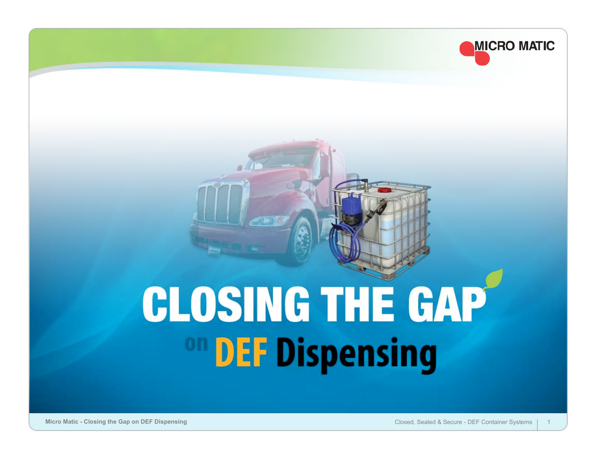

# **CLOSING THE GAP** <sup>on</sup> DEF Dispensing

**Micro Matic - Closing the Gap on DEF Dispensing** Closed, Sealed & Secure - DEF Container Systems 1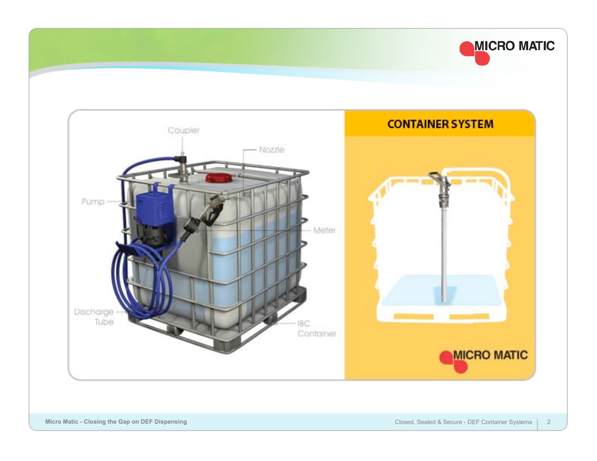

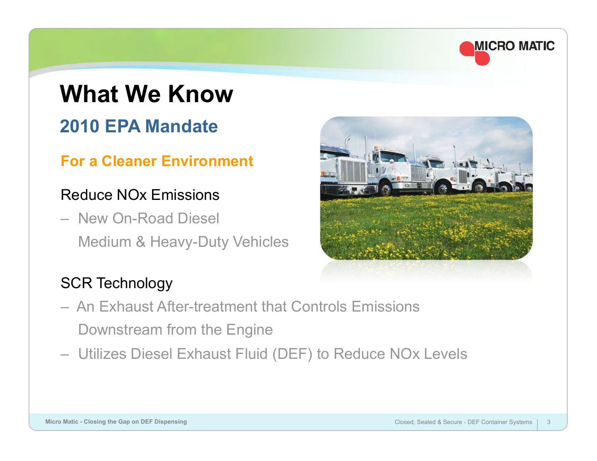

### **What We Know 2010 EPA Mandate**

#### **For a Cleaner Environment**

#### Reduce NOx Emissions

– New On-Road Diesel Medium & Heavy-Duty Vehicles



### SCR Technology

- An Exhaust After-treatment that Controls Emissions Downstream from the Engine
- Utilizes Diesel Exhaust Fluid (DEF) to Reduce NOx Levels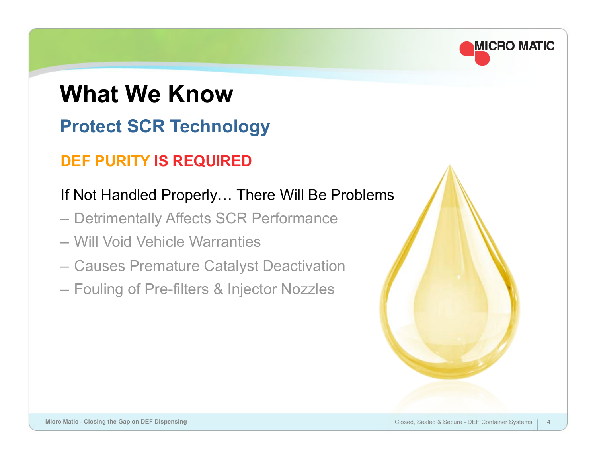### **What We Know Protect SCR Technology**

### **DEF PURITY IS REQUIRED**

### If Not Handled Properly… There Will Be Problems

- Detrimentally Affects SCR Performance
- Will Void Vehicle Warranties
- Causes Premature Catalyst Deactivation
- Fouling of Pre-filters & Injector Nozzles

**MICRO MATIC**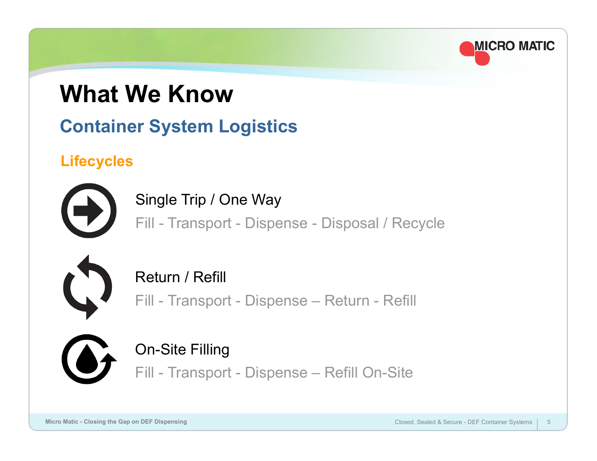

### **What We Know**

### **Container System Logistics**

### **Lifecycles**



Single Trip / One Way

Fill - Transport - Dispense - Disposal / Recycle



Return / Refill

Fill - Transport - Dispense – Return - Refill



### On-Site Filling

Fill - Transport - Dispense – Refill On-Site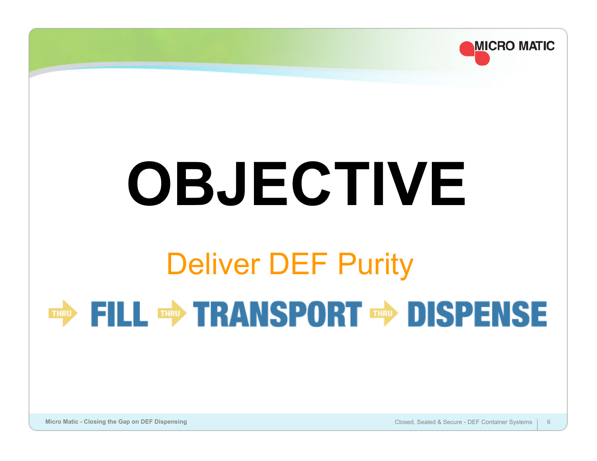

**Micro Matic - Closing the Gap on DEF Dispensing** Closed, Sealed & Secure - DEF Container Systems 6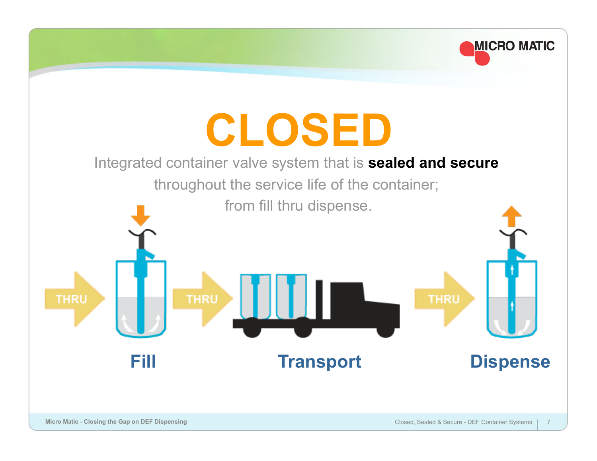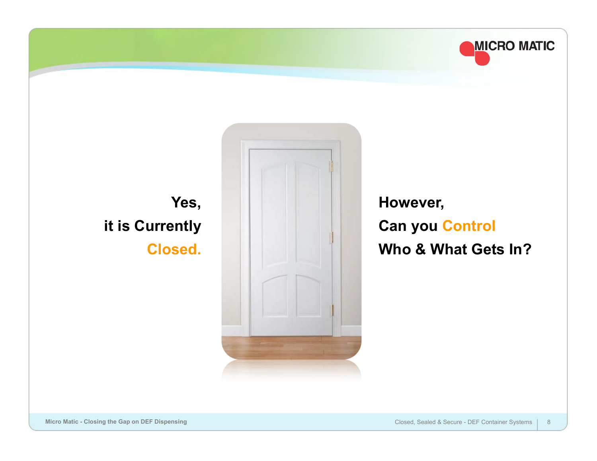

### **Yes, it is Currently Closed.**



**However, Can you Control Who & What Gets In?**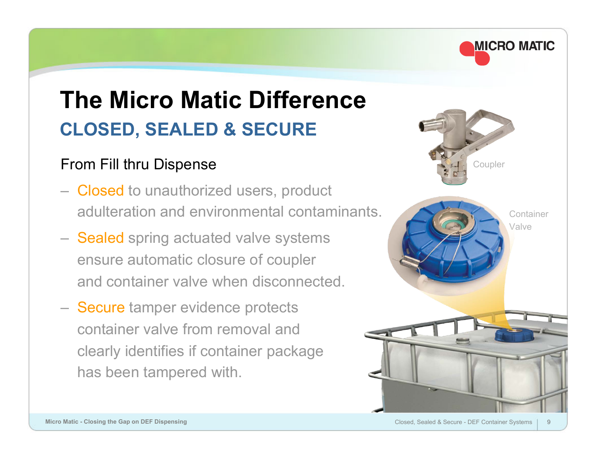

### **The Micro Matic Difference CLOSED, SEALED & SECURE**

#### From Fill thru Dispense

- Closed to unauthorized users, product adulteration and environmental contaminants.
- Sealed spring actuated valve systems ensure automatic closure of coupler and container valve when disconnected.
- Secure tamper evidence protects container valve from removal and clearly identifies if container package has been tampered with.

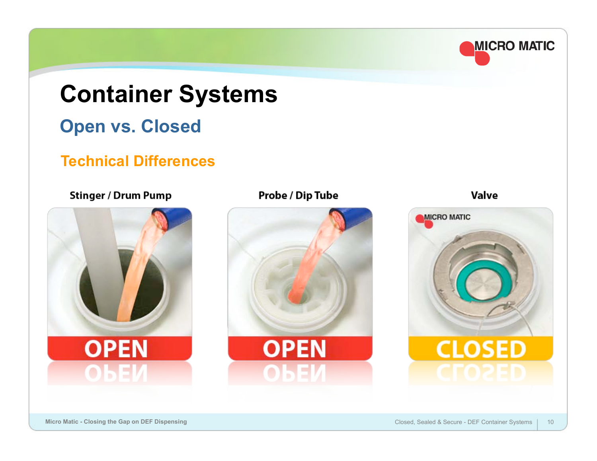

### **Container Systems Open vs. Closed**

#### **Technical Differences**

#### **Stinger / Drum Pump**



#### Probe / Dip Tube



Valve

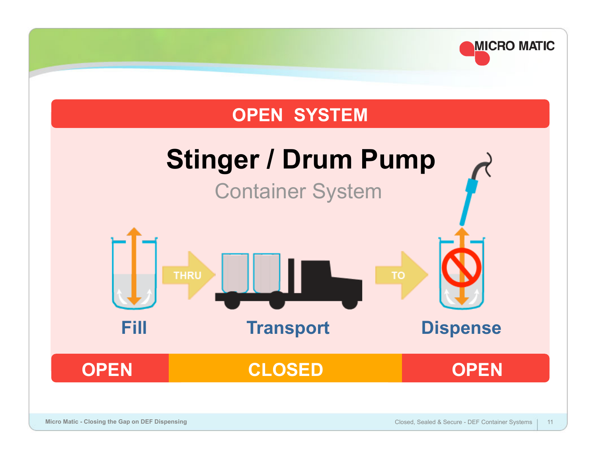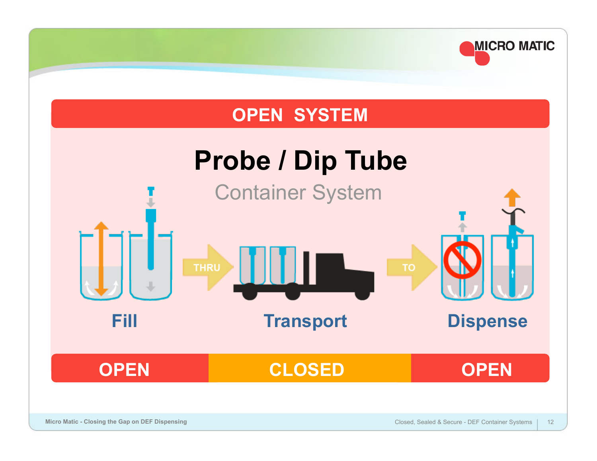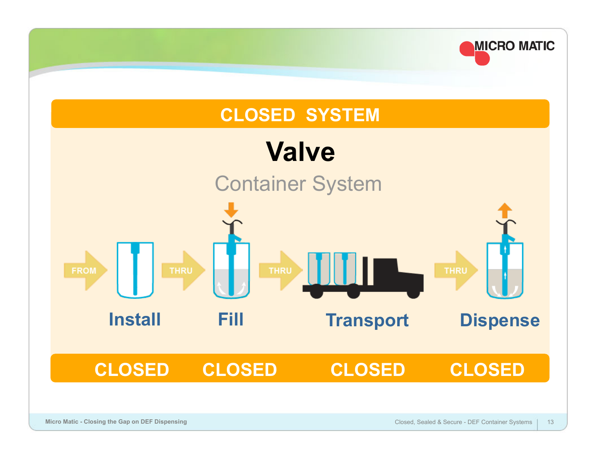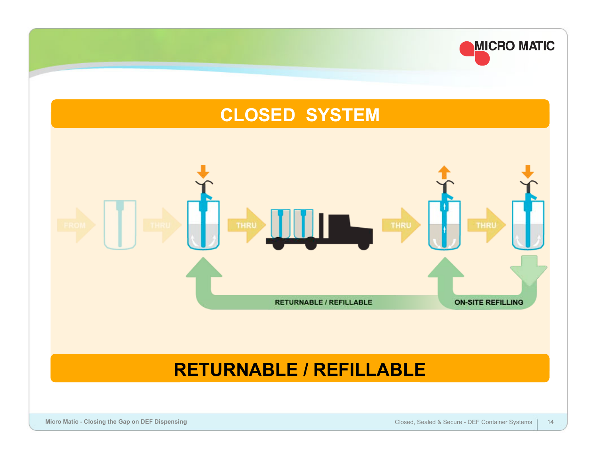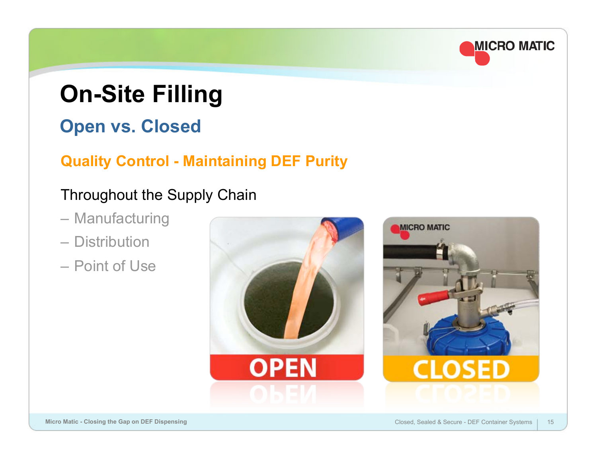### **MICRO MATIC**

### **On-Site Filling**

### **Open vs. Closed**

### **Quality Control - Maintaining DEF Purity**

### Throughout the Supply Chain

- Manufacturing
- Distribution
- Point of Use

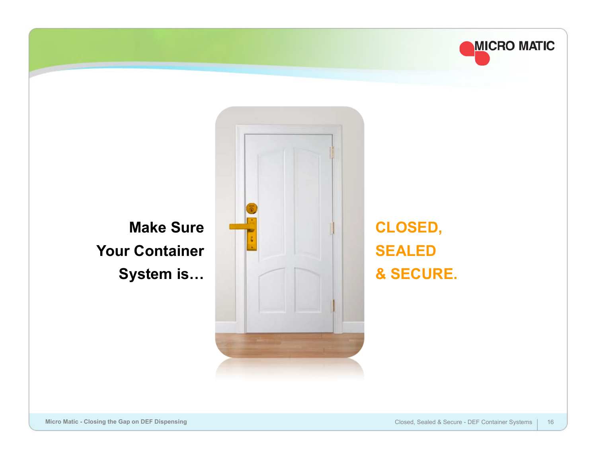

**Make Sure Your Container System is…**



**CLOSED, SEALED & SECURE.**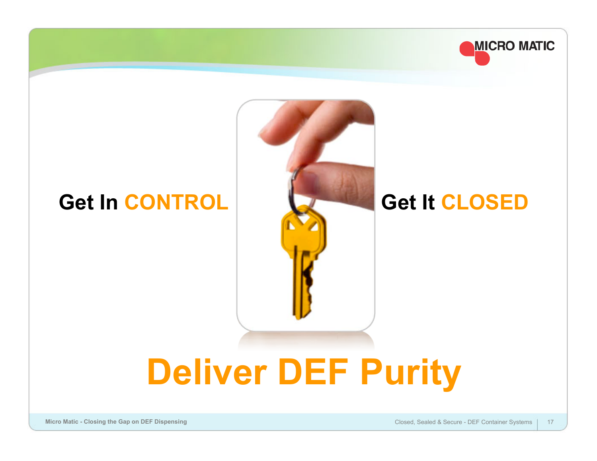